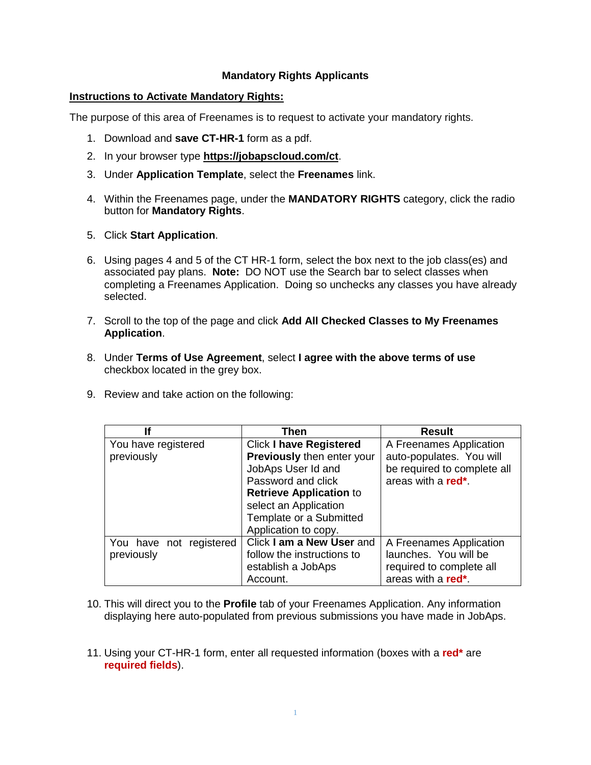## **Mandatory Rights Applicants**

## **Instructions to Activate Mandatory Rights:**

The purpose of this area of Freenames is to request to activate your mandatory rights.

- 1. Download and **save CT-HR-1** form as a pdf.
- 2. In your browser type **<https://jobapscloud.com/ct>**.
- 3. Under **Application Template**, select the **Freenames** link.
- 4. Within the Freenames page, under the **MANDATORY RIGHTS** category, click the radio button for **Mandatory Rights**.
- 5. Click **Start Application**.
- 6. Using pages 4 and 5 of the CT HR-1 form, select the box next to the job class(es) and associated pay plans. **Note:** DO NOT use the Search bar to select classes when completing a Freenames Application. Doing so unchecks any classes you have already selected.
- 7. Scroll to the top of the page and click **Add All Checked Classes to My Freenames Application**.
- 8. Under **Terms of Use Agreement**, select **I agree with the above terms of use** checkbox located in the grey box.
- 9. Review and take action on the following:

| lf                      | Then                              | <b>Result</b>                   |
|-------------------------|-----------------------------------|---------------------------------|
| You have registered     | <b>Click I have Registered</b>    | A Freenames Application         |
| previously              | <b>Previously then enter your</b> | auto-populates. You will        |
|                         | JobAps User Id and                | be required to complete all     |
|                         | Password and click                | areas with a red <sup>*</sup> . |
|                         | <b>Retrieve Application to</b>    |                                 |
|                         | select an Application             |                                 |
|                         | Template or a Submitted           |                                 |
|                         | Application to copy.              |                                 |
| You have not registered | Click I am a New User and         | A Freenames Application         |
| previously              | follow the instructions to        | launches. You will be           |
|                         | establish a JobAps                | required to complete all        |
|                         | Account.                          | areas with a red <sup>*</sup> . |

- 10. This will direct you to the **Profile** tab of your Freenames Application. Any information displaying here auto-populated from previous submissions you have made in JobAps.
- 11. Using your CT-HR-1 form, enter all requested information (boxes with a **red\*** are **required fields**).